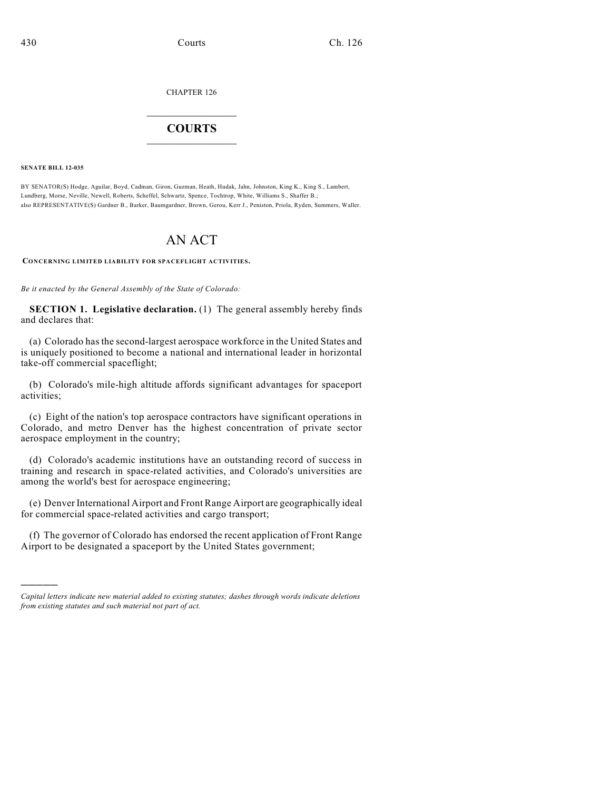CHAPTER 126

## $\overline{\phantom{a}}$  . The set of the set of the set of the set of the set of the set of the set of the set of the set of the set of the set of the set of the set of the set of the set of the set of the set of the set of the set o **COURTS**  $\_$   $\_$   $\_$   $\_$   $\_$   $\_$   $\_$   $\_$

**SENATE BILL 12-035**

)))))

BY SENATOR(S) Hodge, Aguilar, Boyd, Cadman, Giron, Guzman, Heath, Hudak, Jahn, Johnston, King K., King S., Lambert, Lundberg, Morse, Neville, Newell, Roberts, Scheffel, Schwartz, Spence, Tochtrop, White, Williams S., Shaffer B.; also REPRESENTATIVE(S) Gardner B., Barker, Baumgardner, Brown, Gerou, Kerr J., Peniston, Priola, Ryden, Summers, Waller.

# AN ACT

**CONCERNING LIMITED LIABILITY FOR SPACEFLIGHT ACTIVITIES.**

*Be it enacted by the General Assembly of the State of Colorado:*

**SECTION 1. Legislative declaration.** (1) The general assembly hereby finds and declares that:

(a) Colorado has the second-largest aerospace workforce in the United States and is uniquely positioned to become a national and international leader in horizontal take-off commercial spaceflight;

(b) Colorado's mile-high altitude affords significant advantages for spaceport activities;

(c) Eight of the nation's top aerospace contractors have significant operations in Colorado, and metro Denver has the highest concentration of private sector aerospace employment in the country;

(d) Colorado's academic institutions have an outstanding record of success in training and research in space-related activities, and Colorado's universities are among the world's best for aerospace engineering;

(e) Denver International Airport and Front Range Airport are geographically ideal for commercial space-related activities and cargo transport;

(f) The governor of Colorado has endorsed the recent application of Front Range Airport to be designated a spaceport by the United States government;

*Capital letters indicate new material added to existing statutes; dashes through words indicate deletions from existing statutes and such material not part of act.*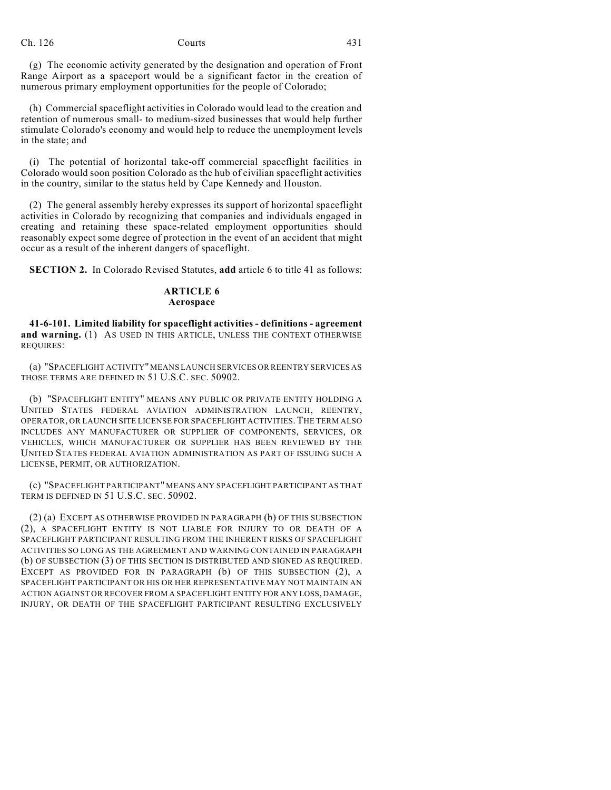Ch. 126 Courts 431

(g) The economic activity generated by the designation and operation of Front Range Airport as a spaceport would be a significant factor in the creation of numerous primary employment opportunities for the people of Colorado;

(h) Commercial spaceflight activities in Colorado would lead to the creation and retention of numerous small- to medium-sized businesses that would help further stimulate Colorado's economy and would help to reduce the unemployment levels in the state; and

(i) The potential of horizontal take-off commercial spaceflight facilities in Colorado would soon position Colorado as the hub of civilian spaceflight activities in the country, similar to the status held by Cape Kennedy and Houston.

(2) The general assembly hereby expresses its support of horizontal spaceflight activities in Colorado by recognizing that companies and individuals engaged in creating and retaining these space-related employment opportunities should reasonably expect some degree of protection in the event of an accident that might occur as a result of the inherent dangers of spaceflight.

**SECTION 2.** In Colorado Revised Statutes, **add** article 6 to title 41 as follows:

### **ARTICLE 6 Aerospace**

**41-6-101. Limited liability for spaceflight activities - definitions - agreement and warning.** (1) AS USED IN THIS ARTICLE, UNLESS THE CONTEXT OTHERWISE REQUIRES:

(a) "SPACEFLIGHT ACTIVITY" MEANS LAUNCH SERVICES OR REENTRY SERVICES AS THOSE TERMS ARE DEFINED IN 51 U.S.C. SEC. 50902.

(b) "SPACEFLIGHT ENTITY" MEANS ANY PUBLIC OR PRIVATE ENTITY HOLDING A UNITED STATES FEDERAL AVIATION ADMINISTRATION LAUNCH, REENTRY, OPERATOR, OR LAUNCH SITE LICENSE FOR SPACEFLIGHT ACTIVITIES.THE TERM ALSO INCLUDES ANY MANUFACTURER OR SUPPLIER OF COMPONENTS, SERVICES, OR VEHICLES, WHICH MANUFACTURER OR SUPPLIER HAS BEEN REVIEWED BY THE UNITED STATES FEDERAL AVIATION ADMINISTRATION AS PART OF ISSUING SUCH A LICENSE, PERMIT, OR AUTHORIZATION.

(c) "SPACEFLIGHT PARTICIPANT" MEANS ANY SPACEFLIGHT PARTICIPANT AS THAT TERM IS DEFINED IN 51 U.S.C. SEC. 50902.

(2) (a) EXCEPT AS OTHERWISE PROVIDED IN PARAGRAPH (b) OF THIS SUBSECTION (2), A SPACEFLIGHT ENTITY IS NOT LIABLE FOR INJURY TO OR DEATH OF A SPACEFLIGHT PARTICIPANT RESULTING FROM THE INHERENT RISKS OF SPACEFLIGHT ACTIVITIES SO LONG AS THE AGREEMENT AND WARNING CONTAINED IN PARAGRAPH (b) OF SUBSECTION (3) OF THIS SECTION IS DISTRIBUTED AND SIGNED AS REQUIRED. EXCEPT AS PROVIDED FOR IN PARAGRAPH (b) OF THIS SUBSECTION (2), A SPACEFLIGHT PARTICIPANT OR HIS OR HER REPRESENTATIVE MAY NOT MAINTAIN AN ACTION AGAINST OR RECOVER FROM A SPACEFLIGHT ENTITY FOR ANY LOSS, DAMAGE, INJURY, OR DEATH OF THE SPACEFLIGHT PARTICIPANT RESULTING EXCLUSIVELY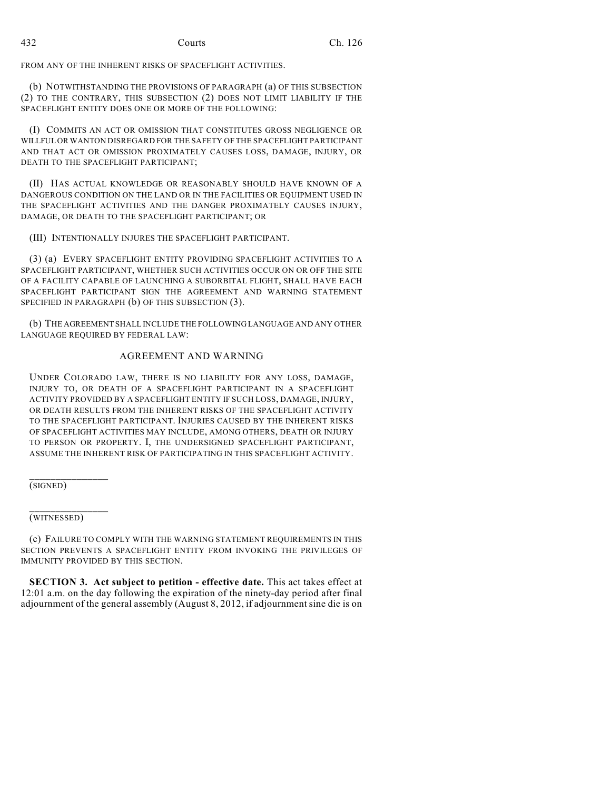FROM ANY OF THE INHERENT RISKS OF SPACEFLIGHT ACTIVITIES.

(b) NOTWITHSTANDING THE PROVISIONS OF PARAGRAPH (a) OF THIS SUBSECTION (2) TO THE CONTRARY, THIS SUBSECTION (2) DOES NOT LIMIT LIABILITY IF THE SPACEFLIGHT ENTITY DOES ONE OR MORE OF THE FOLLOWING:

(I) COMMITS AN ACT OR OMISSION THAT CONSTITUTES GROSS NEGLIGENCE OR WILLFUL OR WANTON DISREGARD FOR THE SAFETY OF THE SPACEFLIGHT PARTICIPANT AND THAT ACT OR OMISSION PROXIMATELY CAUSES LOSS, DAMAGE, INJURY, OR DEATH TO THE SPACEFLIGHT PARTICIPANT;

(II) HAS ACTUAL KNOWLEDGE OR REASONABLY SHOULD HAVE KNOWN OF A DANGEROUS CONDITION ON THE LAND OR IN THE FACILITIES OR EQUIPMENT USED IN THE SPACEFLIGHT ACTIVITIES AND THE DANGER PROXIMATELY CAUSES INJURY, DAMAGE, OR DEATH TO THE SPACEFLIGHT PARTICIPANT; OR

(III) INTENTIONALLY INJURES THE SPACEFLIGHT PARTICIPANT.

(3) (a) EVERY SPACEFLIGHT ENTITY PROVIDING SPACEFLIGHT ACTIVITIES TO A SPACEFLIGHT PARTICIPANT, WHETHER SUCH ACTIVITIES OCCUR ON OR OFF THE SITE OF A FACILITY CAPABLE OF LAUNCHING A SUBORBITAL FLIGHT, SHALL HAVE EACH SPACEFLIGHT PARTICIPANT SIGN THE AGREEMENT AND WARNING STATEMENT SPECIFIED IN PARAGRAPH (b) OF THIS SUBSECTION (3).

(b) THE AGREEMENT SHALL INCLUDE THE FOLLOWING LANGUAGE AND ANY OTHER LANGUAGE REQUIRED BY FEDERAL LAW:

## AGREEMENT AND WARNING

UNDER COLORADO LAW, THERE IS NO LIABILITY FOR ANY LOSS, DAMAGE, INJURY TO, OR DEATH OF A SPACEFLIGHT PARTICIPANT IN A SPACEFLIGHT ACTIVITY PROVIDED BY A SPACEFLIGHT ENTITY IF SUCH LOSS, DAMAGE, INJURY, OR DEATH RESULTS FROM THE INHERENT RISKS OF THE SPACEFLIGHT ACTIVITY TO THE SPACEFLIGHT PARTICIPANT. INJURIES CAUSED BY THE INHERENT RISKS OF SPACEFLIGHT ACTIVITIES MAY INCLUDE, AMONG OTHERS, DEATH OR INJURY TO PERSON OR PROPERTY. I, THE UNDERSIGNED SPACEFLIGHT PARTICIPANT, ASSUME THE INHERENT RISK OF PARTICIPATING IN THIS SPACEFLIGHT ACTIVITY.

(SIGNED)

### $\frac{1}{2}$ (WITNESSED)

 $\overline{\phantom{a}}$  ,  $\overline{\phantom{a}}$  ,  $\overline{\phantom{a}}$  ,  $\overline{\phantom{a}}$  ,  $\overline{\phantom{a}}$  ,  $\overline{\phantom{a}}$  ,  $\overline{\phantom{a}}$  ,  $\overline{\phantom{a}}$  ,  $\overline{\phantom{a}}$  ,  $\overline{\phantom{a}}$  ,  $\overline{\phantom{a}}$  ,  $\overline{\phantom{a}}$  ,  $\overline{\phantom{a}}$  ,  $\overline{\phantom{a}}$  ,  $\overline{\phantom{a}}$  ,  $\overline{\phantom{a}}$ 

(c) FAILURE TO COMPLY WITH THE WARNING STATEMENT REQUIREMENTS IN THIS SECTION PREVENTS A SPACEFLIGHT ENTITY FROM INVOKING THE PRIVILEGES OF IMMUNITY PROVIDED BY THIS SECTION.

**SECTION 3. Act subject to petition - effective date.** This act takes effect at 12:01 a.m. on the day following the expiration of the ninety-day period after final adjournment of the general assembly (August 8, 2012, if adjournment sine die is on